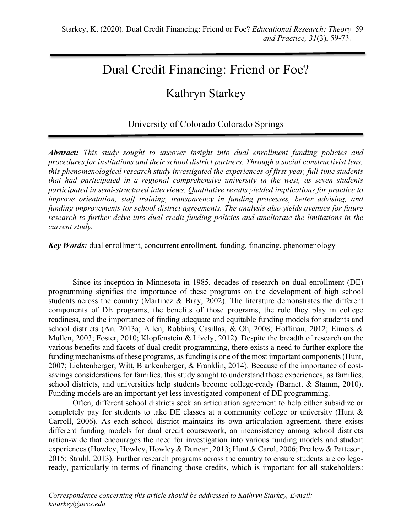# Dual Credit Financing: Friend or Foe?

# Kathryn Starkey

# University of Colorado Colorado Springs

*Abstract: This study sought to uncover insight into dual enrollment funding policies and procedures for institutions and their school district partners. Through a social constructivist lens, this phenomenological research study investigated the experiences of first-year, full-time students that had participated in a regional comprehensive university in the west, as seven students participated in semi-structured interviews. Qualitative results yielded implications for practice to improve orientation, staff training, transparency in funding processes, better advising, and funding improvements for school district agreements. The analysis also yields avenues for future research to further delve into dual credit funding policies and ameliorate the limitations in the current study.*

*Key Words:* dual enrollment, concurrent enrollment, funding, financing, phenomenology

Since its inception in Minnesota in 1985, decades of research on dual enrollment (DE) programming signifies the importance of these programs on the development of high school students across the country (Martinez & Bray, 2002). The literature demonstrates the different components of DE programs, the benefits of those programs, the role they play in college readiness, and the importance of finding adequate and equitable funding models for students and school districts (An. 2013a; Allen, Robbins, Casillas, & Oh, 2008; Hoffman, 2012; Eimers & Mullen, 2003; Foster, 2010; Klopfenstein & Lively, 2012). Despite the breadth of research on the various benefits and facets of dual credit programming, there exists a need to further explore the funding mechanisms of these programs, as funding is one of the most important components (Hunt, 2007; Lichtenberger, Witt, Blankenberger, & Franklin, 2014). Because of the importance of costsavings considerations for families, this study sought to understand those experiences, as families, school districts, and universities help students become college-ready (Barnett & Stamm, 2010). Funding models are an important yet less investigated component of DE programming.

Often, different school districts seek an articulation agreement to help either subsidize or completely pay for students to take DE classes at a community college or university (Hunt & Carroll, 2006). As each school district maintains its own articulation agreement, there exists different funding models for dual credit coursework, an inconsistency among school districts nation-wide that encourages the need for investigation into various funding models and student experiences (Howley, Howley, Howley & Duncan, 2013; Hunt & Carol, 2006; Pretlow & Patteson, 2015; Struhl, 2013). Further research programs across the country to ensure students are collegeready, particularly in terms of financing those credits, which is important for all stakeholders: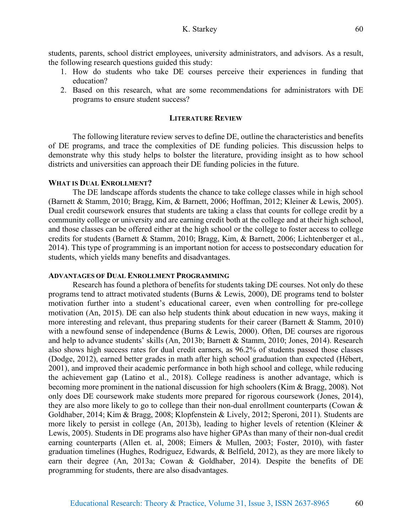- 1. How do students who take DE courses perceive their experiences in funding that education?
- 2. Based on this research, what are some recommendations for administrators with DE programs to ensure student success?

# **LITERATURE REVIEW**

The following literature review serves to define DE, outline the characteristics and benefits of DE programs, and trace the complexities of DE funding policies. This discussion helps to demonstrate why this study helps to bolster the literature, providing insight as to how school districts and universities can approach their DE funding policies in the future.

# **WHAT IS DUAL ENROLLMENT?**

The DE landscape affords students the chance to take college classes while in high school (Barnett & Stamm, 2010; Bragg, Kim, & Barnett, 2006; Hoffman, 2012; Kleiner & Lewis, 2005). Dual credit coursework ensures that students are taking a class that counts for college credit by a community college or university and are earning credit both at the college and at their high school, and those classes can be offered either at the high school or the college to foster access to college credits for students (Barnett & Stamm, 2010; Bragg, Kim, & Barnett, 2006; Lichtenberger et al., 2014). This type of programming is an important notion for access to postsecondary education for students, which yields many benefits and disadvantages.

# **ADVANTAGES OF DUAL ENROLLMENT PROGRAMMING**

Research has found a plethora of benefits for students taking DE courses. Not only do these programs tend to attract motivated students (Burns & Lewis, 2000), DE programs tend to bolster motivation further into a student's educational career, even when controlling for pre-college motivation (An, 2015). DE can also help students think about education in new ways, making it more interesting and relevant, thus preparing students for their career (Barnett & Stamm, 2010) with a newfound sense of independence (Burns & Lewis, 2000). Often, DE courses are rigorous and help to advance students' skills (An, 2013b; Barnett & Stamm, 2010; Jones, 2014). Research also shows high success rates for dual credit earners, as 96.2% of students passed those classes (Dodge, 2012), earned better grades in math after high school graduation than expected (Hébert, 2001), and improved their academic performance in both high school and college, while reducing the achievement gap (Latino et al., 2018). College readiness is another advantage, which is becoming more prominent in the national discussion for high schoolers (Kim & Bragg, 2008). Not only does DE coursework make students more prepared for rigorous coursework (Jones, 2014), they are also more likely to go to college than their non-dual enrollment counterparts (Cowan & Goldhaber, 2014; Kim & Bragg, 2008; Klopfenstein & Lively, 2012; Speroni, 2011). Students are more likely to persist in college (An, 2013b), leading to higher levels of retention (Kleiner & Lewis, 2005). Students in DE programs also have higher GPAs than many of their non-dual credit earning counterparts (Allen et. al, 2008; Eimers & Mullen, 2003; Foster, 2010), with faster graduation timelines (Hughes, Rodriguez, Edwards, & Belfield, 2012), as they are more likely to earn their degree (An, 2013a; Cowan & Goldhaber, 2014). Despite the benefits of DE programming for students, there are also disadvantages.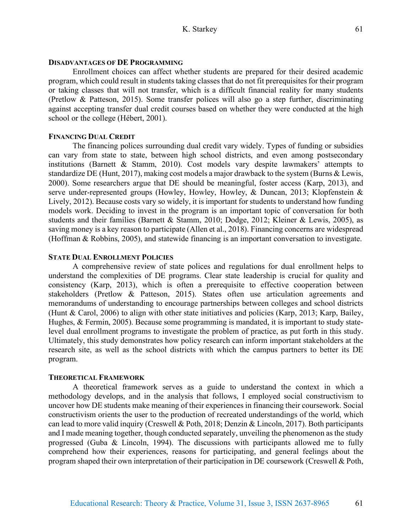### **DISADVANTAGES OF DE PROGRAMMING**

Enrollment choices can affect whether students are prepared for their desired academic program, which could result in students taking classes that do not fit prerequisites for their program or taking classes that will not transfer, which is a difficult financial reality for many students (Pretlow & Patteson, 2015). Some transfer polices will also go a step further, discriminating against accepting transfer dual credit courses based on whether they were conducted at the high school or the college (Hébert, 2001).

# **FINANCING DUAL CREDIT**

The financing polices surrounding dual credit vary widely. Types of funding or subsidies can vary from state to state, between high school districts, and even among postsecondary institutions (Barnett & Stamm, 2010). Cost models vary despite lawmakers' attempts to standardize DE (Hunt, 2017), making cost models a major drawback to the system (Burns & Lewis, 2000). Some researchers argue that DE should be meaningful, foster access (Karp, 2013), and serve under-represented groups (Howley, Howley, Howley, & Duncan, 2013; Klopfenstein & Lively, 2012). Because costs vary so widely, it is important for students to understand how funding models work. Deciding to invest in the program is an important topic of conversation for both students and their families (Barnett & Stamm, 2010; Dodge, 2012; Kleiner & Lewis, 2005), as saving money is a key reason to participate (Allen et al., 2018). Financing concerns are widespread (Hoffman & Robbins, 2005), and statewide financing is an important conversation to investigate.

#### **STATE DUAL ENROLLMENT POLICIES**

A comprehensive review of state polices and regulations for dual enrollment helps to understand the complexities of DE programs. Clear state leadership is crucial for quality and consistency (Karp, 2013), which is often a prerequisite to effective cooperation between stakeholders (Pretlow & Patteson, 2015). States often use articulation agreements and memorandums of understanding to encourage partnerships between colleges and school districts (Hunt & Carol, 2006) to align with other state initiatives and policies (Karp, 2013; Karp, Bailey, Hughes, & Fermin, 2005). Because some programming is mandated, it is important to study statelevel dual enrollment programs to investigate the problem of practice, as put forth in this study. Ultimately, this study demonstrates how policy research can inform important stakeholders at the research site, as well as the school districts with which the campus partners to better its DE program.

#### **THEORETICAL FRAMEWORK**

A theoretical framework serves as a guide to understand the context in which a methodology develops, and in the analysis that follows, I employed social constructivism to uncover how DE students make meaning of their experiences in financing their coursework. Social constructivism orients the user to the production of recreated understandings of the world, which can lead to more valid inquiry (Creswell & Poth, 2018; Denzin & Lincoln, 2017). Both participants and I made meaning together, though conducted separately, unveiling the phenomenon as the study progressed (Guba & Lincoln, 1994). The discussions with participants allowed me to fully comprehend how their experiences, reasons for participating, and general feelings about the program shaped their own interpretation of their participation in DE coursework (Creswell & Poth,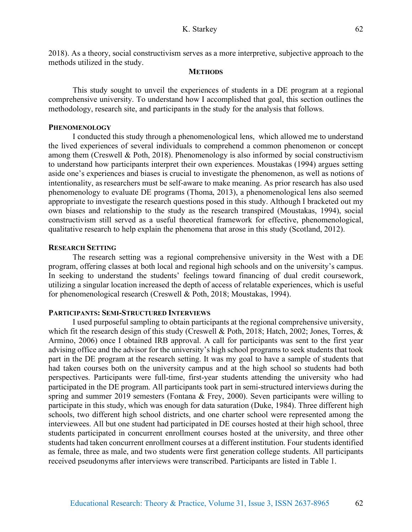2018). As a theory, social constructivism serves as a more interpretive, subjective approach to the methods utilized in the study.

# **METHODS**

This study sought to unveil the experiences of students in a DE program at a regional comprehensive university. To understand how I accomplished that goal, this section outlines the methodology, research site, and participants in the study for the analysis that follows.

# **PHENOMENOLOGY**

I conducted this study through a phenomenological lens, which allowed me to understand the lived experiences of several individuals to comprehend a common phenomenon or concept among them (Creswell & Poth, 2018). Phenomenology is also informed by social constructivism to understand how participants interpret their own experiences. Moustakas (1994) argues setting aside one's experiences and biases is crucial to investigate the phenomenon, as well as notions of intentionality, as researchers must be self-aware to make meaning. As prior research has also used phenomenology to evaluate DE programs (Thoma, 2013), a phenomenological lens also seemed appropriate to investigate the research questions posed in this study. Although I bracketed out my own biases and relationship to the study as the research transpired (Moustakas, 1994), social constructivism still served as a useful theoretical framework for effective, phenomenological, qualitative research to help explain the phenomena that arose in this study (Scotland, 2012).

# **RESEARCH SETTING**

The research setting was a regional comprehensive university in the West with a DE program, offering classes at both local and regional high schools and on the university's campus. In seeking to understand the students' feelings toward financing of dual credit coursework, utilizing a singular location increased the depth of access of relatable experiences, which is useful for phenomenological research (Creswell & Poth, 2018; Moustakas, 1994).

#### **PARTICIPANTS: SEMI-STRUCTURED INTERVIEWS**

I used purposeful sampling to obtain participants at the regional comprehensive university, which fit the research design of this study (Creswell & Poth, 2018; Hatch, 2002; Jones, Torres, & Armino, 2006) once I obtained IRB approval. A call for participants was sent to the first year advising office and the advisor for the university's high school programs to seek students that took part in the DE program at the research setting. It was my goal to have a sample of students that had taken courses both on the university campus and at the high school so students had both perspectives. Participants were full-time, first-year students attending the university who had participated in the DE program. All participants took part in semi-structured interviews during the spring and summer 2019 semesters (Fontana & Frey, 2000). Seven participants were willing to participate in this study, which was enough for data saturation (Duke, 1984). Three different high schools, two different high school districts, and one charter school were represented among the interviewees. All but one student had participated in DE courses hosted at their high school, three students participated in concurrent enrollment courses hosted at the university, and three other students had taken concurrent enrollment courses at a different institution. Four students identified as female, three as male, and two students were first generation college students. All participants received pseudonyms after interviews were transcribed. Participants are listed in Table 1.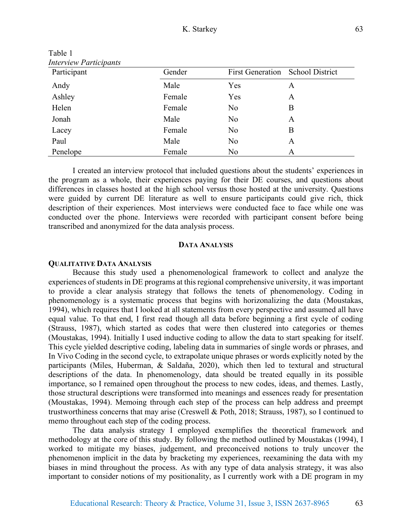| Interview Participants |        |                         |                        |
|------------------------|--------|-------------------------|------------------------|
| Participant            | Gender | <b>First Generation</b> | <b>School District</b> |
| Andy                   | Male   | Yes                     | A                      |
| Ashley                 | Female | Yes                     | A                      |
| Helen                  | Female | No                      | B                      |
| Jonah                  | Male   | No                      | A                      |
| Lacey                  | Female | No                      | B                      |
| Paul                   | Male   | No                      | A                      |
| Penelope               | Female | N <sub>o</sub>          | A                      |

Table 1 *Interview Participants* 

I created an interview protocol that included questions about the students' experiences in the program as a whole, their experiences paying for their DE courses, and questions about differences in classes hosted at the high school versus those hosted at the university. Questions were guided by current DE literature as well to ensure participants could give rich, thick description of their experiences. Most interviews were conducted face to face while one was conducted over the phone. Interviews were recorded with participant consent before being transcribed and anonymized for the data analysis process.

#### **DATA ANALYSIS**

#### **QUALITATIVE DATA ANALYSIS**

Because this study used a phenomenological framework to collect and analyze the experiences of students in DE programs at this regional comprehensive university, it was important to provide a clear analysis strategy that follows the tenets of phenomenology. Coding in phenomenology is a systematic process that begins with horizonalizing the data (Moustakas, 1994), which requires that I looked at all statements from every perspective and assumed all have equal value. To that end, I first read though all data before beginning a first cycle of coding (Strauss, 1987), which started as codes that were then clustered into categories or themes (Moustakas, 1994). Initially I used inductive coding to allow the data to start speaking for itself. This cycle yielded descriptive coding, labeling data in summaries of single words or phrases, and In Vivo Coding in the second cycle, to extrapolate unique phrases or words explicitly noted by the participants (Miles, Huberman, & Saldaña, 2020), which then led to textural and structural descriptions of the data. In phenomenology, data should be treated equally in its possible importance, so I remained open throughout the process to new codes, ideas, and themes. Lastly, those structural descriptions were transformed into meanings and essences ready for presentation (Moustakas, 1994). Memoing through each step of the process can help address and preempt trustworthiness concerns that may arise (Creswell & Poth, 2018; Strauss, 1987), so I continued to memo throughout each step of the coding process.

The data analysis strategy I employed exemplifies the theoretical framework and methodology at the core of this study. By following the method outlined by Moustakas (1994), I worked to mitigate my biases, judgement, and preconceived notions to truly uncover the phenomenon implicit in the data by bracketing my experiences, reexamining the data with my biases in mind throughout the process. As with any type of data analysis strategy, it was also important to consider notions of my positionality, as I currently work with a DE program in my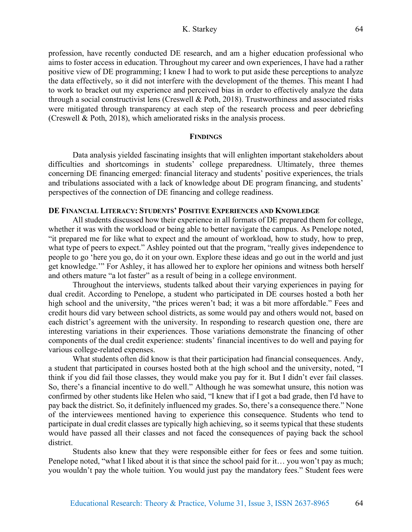# K. Starkey

profession, have recently conducted DE research, and am a higher education professional who aims to foster access in education. Throughout my career and own experiences, I have had a rather positive view of DE programming; I knew I had to work to put aside these perceptions to analyze the data effectively, so it did not interfere with the development of the themes. This meant I had to work to bracket out my experience and perceived bias in order to effectively analyze the data through a social constructivist lens (Creswell & Poth, 2018). Trustworthiness and associated risks were mitigated through transparency at each step of the research process and peer debriefing (Creswell & Poth, 2018), which ameliorated risks in the analysis process.

#### **FINDINGS**

Data analysis yielded fascinating insights that will enlighten important stakeholders about difficulties and shortcomings in students' college preparedness. Ultimately, three themes concerning DE financing emerged: financial literacy and students' positive experiences, the trials and tribulations associated with a lack of knowledge about DE program financing, and students' perspectives of the connection of DE financing and college readiness.

# **DE FINANCIAL LITERACY: STUDENTS' POSITIVE EXPERIENCES AND KNOWLEDGE**

All students discussed how their experience in all formats of DE prepared them for college, whether it was with the workload or being able to better navigate the campus. As Penelope noted, "it prepared me for like what to expect and the amount of workload, how to study, how to prep, what type of peers to expect." Ashley pointed out that the program, "really gives independence to people to go 'here you go, do it on your own. Explore these ideas and go out in the world and just get knowledge.'" For Ashley, it has allowed her to explore her opinions and witness both herself and others mature "a lot faster" as a result of being in a college environment.

Throughout the interviews, students talked about their varying experiences in paying for dual credit. According to Penelope, a student who participated in DE courses hosted a both her high school and the university, "the prices weren't bad; it was a bit more affordable." Fees and credit hours did vary between school districts, as some would pay and others would not, based on each district's agreement with the university. In responding to research question one, there are interesting variations in their experiences. Those variations demonstrate the financing of other components of the dual credit experience: students' financial incentives to do well and paying for various college-related expenses.

What students often did know is that their participation had financial consequences. Andy, a student that participated in courses hosted both at the high school and the university, noted, "I think if you did fail those classes, they would make you pay for it. But I didn't ever fail classes. So, there's a financial incentive to do well." Although he was somewhat unsure, this notion was confirmed by other students like Helen who said, "I knew that if I got a bad grade, then I'd have to pay back the district. So, it definitely influenced my grades. So, there's a consequence there." None of the interviewees mentioned having to experience this consequence. Students who tend to participate in dual credit classes are typically high achieving, so it seems typical that these students would have passed all their classes and not faced the consequences of paying back the school district.

Students also knew that they were responsible either for fees or fees and some tuition. Penelope noted, "what I liked about it is that since the school paid for it... you won't pay as much; you wouldn't pay the whole tuition. You would just pay the mandatory fees." Student fees were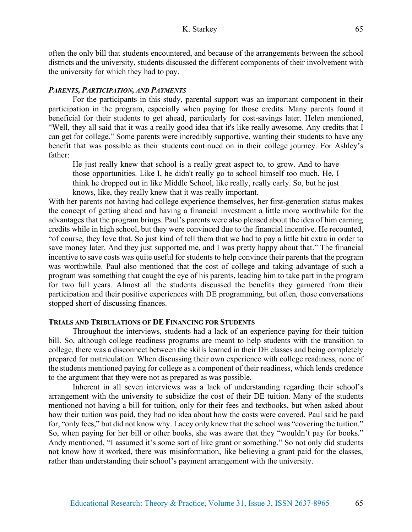often the only bill that students encountered, and because of the arrangements between the school districts and the university, students discussed the different components of their involvement with the university for which they had to pay.

## *PARENTS, PARTICIPATION, AND PAYMENTS*

For the participants in this study, parental support was an important component in their participation in the program, especially when paying for those credits. Many parents found it beneficial for their students to get ahead, particularly for cost-savings later. Helen mentioned, "Well, they all said that it was a really good idea that it's like really awesome. Any credits that I can get for college." Some parents were incredibly supportive, wanting their students to have any benefit that was possible as their students continued on in their college journey. For Ashley's father:

He just really knew that school is a really great aspect to, to grow. And to have those opportunities. Like I, he didn't really go to school himself too much. He, I think he dropped out in like Middle School, like really, really early. So, but he just knows, like, they really knew that it was really important.

With her parents not having had college experience themselves, her first-generation status makes the concept of getting ahead and having a financial investment a little more worthwhile for the advantages that the program brings. Paul's parents were also pleased about the idea of him earning credits while in high school, but they were convinced due to the financial incentive. He recounted, "of course, they love that. So just kind of tell them that we had to pay a little bit extra in order to save money later. And they just supported me, and I was pretty happy about that." The financial incentive to save costs was quite useful for students to help convince their parents that the program was worthwhile. Paul also mentioned that the cost of college and taking advantage of such a program was something that caught the eye of his parents, leading him to take part in the program for two full years. Almost all the students discussed the benefits they garnered from their participation and their positive experiences with DE programming, but often, those conversations stopped short of discussing finances.

### **TRIALS AND TRIBULATIONS OF DE FINANCING FOR STUDENTS**

Throughout the interviews, students had a lack of an experience paying for their tuition bill. So, although college readiness programs are meant to help students with the transition to college, there was a disconnect between the skills learned in their DE classes and being completely prepared for matriculation. When discussing their own experience with college readiness, none of the students mentioned paying for college as a component of their readiness, which lends credence to the argument that they were not as prepared as was possible.

Inherent in all seven interviews was a lack of understanding regarding their school's arrangement with the university to subsidize the cost of their DE tuition. Many of the students mentioned not having a bill for tuition, only for their fees and textbooks, but when asked about how their tuition was paid, they had no idea about how the costs were covered. Paul said he paid for, "only fees," but did not know why. Lacey only knew that the school was "covering the tuition." So, when paying for her bill or other books, she was aware that they "wouldn't pay for books." Andy mentioned, "I assumed it's some sort of like grant or something." So not only did students not know how it worked, there was misinformation, like believing a grant paid for the classes, rather than understanding their school's payment arrangement with the university.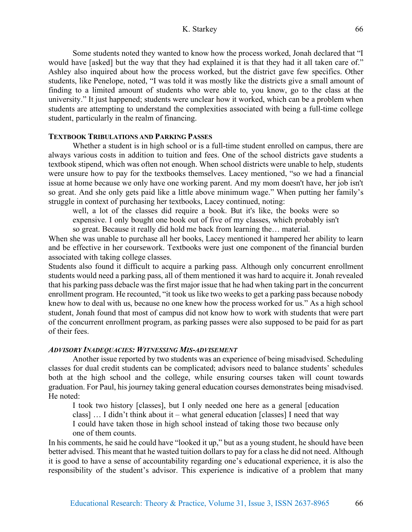# K. Starkey

Some students noted they wanted to know how the process worked, Jonah declared that "I would have [asked] but the way that they had explained it is that they had it all taken care of." Ashley also inquired about how the process worked, but the district gave few specifics. Other students, like Penelope, noted, "I was told it was mostly like the districts give a small amount of finding to a limited amount of students who were able to, you know, go to the class at the university." It just happened; students were unclear how it worked, which can be a problem when students are attempting to understand the complexities associated with being a full-time college student, particularly in the realm of financing.

# **TEXTBOOK TRIBULATIONS AND PARKING PASSES**

Whether a student is in high school or is a full-time student enrolled on campus, there are always various costs in addition to tuition and fees. One of the school districts gave students a textbook stipend, which was often not enough. When school districts were unable to help, students were unsure how to pay for the textbooks themselves. Lacey mentioned, "so we had a financial issue at home because we only have one working parent. And my mom doesn't have, her job isn't so great. And she only gets paid like a little above minimum wage." When putting her family's struggle in context of purchasing her textbooks, Lacey continued, noting:

well, a lot of the classes did require a book. But it's like, the books were so expensive. I only bought one book out of five of my classes, which probably isn't so great. Because it really did hold me back from learning the… material.

When she was unable to purchase all her books, Lacey mentioned it hampered her ability to learn and be effective in her coursework. Textbooks were just one component of the financial burden associated with taking college classes.

Students also found it difficult to acquire a parking pass. Although only concurrent enrollment students would need a parking pass, all of them mentioned it was hard to acquire it. Jonah revealed that his parking pass debacle was the first major issue that he had when taking part in the concurrent enrollment program. He recounted, "it took us like two weeks to get a parking pass because nobody knew how to deal with us, because no one knew how the process worked for us." As a high school student, Jonah found that most of campus did not know how to work with students that were part of the concurrent enrollment program, as parking passes were also supposed to be paid for as part of their fees.

#### *ADVISORY INADEQUACIES: WITNESSING MIS-ADVISEMENT*

Another issue reported by two students was an experience of being misadvised. Scheduling classes for dual credit students can be complicated; advisors need to balance students' schedules both at the high school and the college, while ensuring courses taken will count towards graduation. For Paul, his journey taking general education courses demonstrates being misadvised. He noted:

I took two history [classes], but I only needed one here as a general [education class] … I didn't think about it – what general education [classes] I need that way I could have taken those in high school instead of taking those two because only one of them counts.

In his comments, he said he could have "looked it up," but as a young student, he should have been better advised. This meant that he wasted tuition dollars to pay for a class he did not need. Although it is good to have a sense of accountability regarding one's educational experience, it is also the responsibility of the student's advisor. This experience is indicative of a problem that many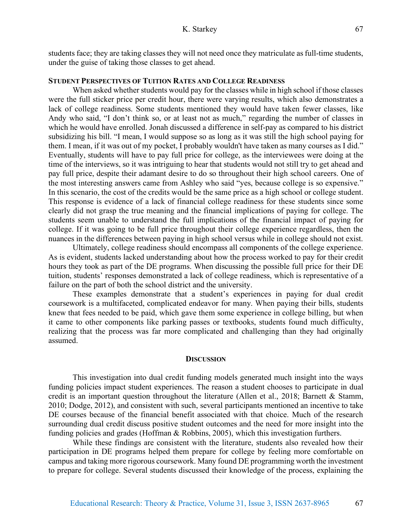students face; they are taking classes they will not need once they matriculate as full-time students, under the guise of taking those classes to get ahead.

# **STUDENT PERSPECTIVES OF TUITION RATES AND COLLEGE READINESS**

When asked whether students would pay for the classes while in high school if those classes were the full sticker price per credit hour, there were varying results, which also demonstrates a lack of college readiness. Some students mentioned they would have taken fewer classes, like Andy who said, "I don't think so, or at least not as much," regarding the number of classes in which he would have enrolled. Jonah discussed a difference in self-pay as compared to his district subsidizing his bill. "I mean, I would suppose so as long as it was still the high school paying for them. I mean, if it was out of my pocket, I probably wouldn't have taken as many courses as I did." Eventually, students will have to pay full price for college, as the interviewees were doing at the time of the interviews, so it was intriguing to hear that students would not still try to get ahead and pay full price, despite their adamant desire to do so throughout their high school careers. One of the most interesting answers came from Ashley who said "yes, because college is so expensive." In this scenario, the cost of the credits would be the same price as a high school or college student. This response is evidence of a lack of financial college readiness for these students since some clearly did not grasp the true meaning and the financial implications of paying for college. The students seem unable to understand the full implications of the financial impact of paying for college. If it was going to be full price throughout their college experience regardless, then the nuances in the differences between paying in high school versus while in college should not exist.

Ultimately, college readiness should encompass all components of the college experience. As is evident, students lacked understanding about how the process worked to pay for their credit hours they took as part of the DE programs. When discussing the possible full price for their DE tuition, students' responses demonstrated a lack of college readiness, which is representative of a failure on the part of both the school district and the university.

These examples demonstrate that a student's experiences in paying for dual credit coursework is a multifaceted, complicated endeavor for many. When paying their bills, students knew that fees needed to be paid, which gave them some experience in college billing, but when it came to other components like parking passes or textbooks, students found much difficulty, realizing that the process was far more complicated and challenging than they had originally assumed.

#### **DISCUSSION**

This investigation into dual credit funding models generated much insight into the ways funding policies impact student experiences. The reason a student chooses to participate in dual credit is an important question throughout the literature (Allen et al., 2018; Barnett & Stamm, 2010; Dodge, 2012), and consistent with such, several participants mentioned an incentive to take DE courses because of the financial benefit associated with that choice. Much of the research surrounding dual credit discuss positive student outcomes and the need for more insight into the funding policies and grades (Hoffman & Robbins, 2005), which this investigation furthers.

While these findings are consistent with the literature, students also revealed how their participation in DE programs helped them prepare for college by feeling more comfortable on campus and taking more rigorous coursework. Many found DE programming worth the investment to prepare for college. Several students discussed their knowledge of the process, explaining the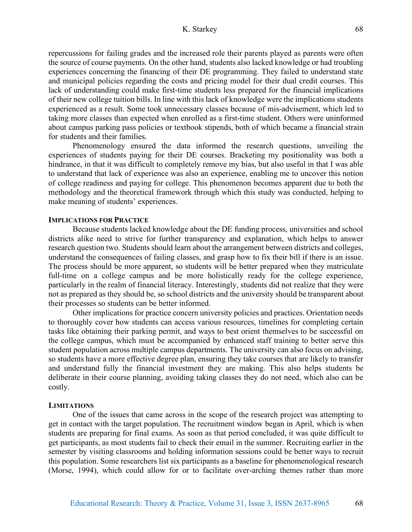repercussions for failing grades and the increased role their parents played as parents were often the source of course payments. On the other hand, students also lacked knowledge or had troubling experiences concerning the financing of their DE programming. They failed to understand state and municipal policies regarding the costs and pricing model for their dual credit courses. This lack of understanding could make first-time students less prepared for the financial implications of their new college tuition bills. In line with this lack of knowledge were the implications students experienced as a result. Some took unnecessary classes because of mis-advisement, which led to taking more classes than expected when enrolled as a first-time student. Others were uninformed about campus parking pass policies or textbook stipends, both of which became a financial strain for students and their families.

Phenomenology ensured the data informed the research questions, unveiling the experiences of students paying for their DE courses. Bracketing my positionality was both a hindrance, in that it was difficult to completely remove my bias, but also useful in that I was able to understand that lack of experience was also an experience, enabling me to uncover this notion of college readiness and paying for college. This phenomenon becomes apparent due to both the methodology and the theoretical framework through which this study was conducted, helping to make meaning of students' experiences.

# **IMPLICATIONS FOR PRACTICE**

Because students lacked knowledge about the DE funding process, universities and school districts alike need to strive for further transparency and explanation, which helps to answer research question two. Students should learn about the arrangement between districts and colleges, understand the consequences of failing classes, and grasp how to fix their bill if there is an issue. The process should be more apparent, so students will be better prepared when they matriculate full-time on a college campus and be more holistically ready for the college experience, particularly in the realm of financial literacy. Interestingly, students did not realize that they were not as prepared as they should be, so school districts and the university should be transparent about their processes so students can be better informed.

Other implications for practice concern university policies and practices. Orientation needs to thoroughly cover how students can access various resources, timelines for completing certain tasks like obtaining their parking permit, and ways to best orient themselves to be successful on the college campus, which must be accompanied by enhanced staff training to better serve this student population across multiple campus departments. The university can also focus on advising, so students have a more effective degree plan, ensuring they take courses that are likely to transfer and understand fully the financial investment they are making. This also helps students be deliberate in their course planning, avoiding taking classes they do not need, which also can be costly.

#### **LIMITATIONS**

One of the issues that came across in the scope of the research project was attempting to get in contact with the target population. The recruitment window began in April, which is when students are preparing for final exams. As soon as that period concluded, it was quite difficult to get participants, as most students fail to check their email in the summer. Recruiting earlier in the semester by visiting classrooms and holding information sessions could be better ways to recruit this population. Some researchers list six participants as a baseline for phenomenological research (Morse, 1994), which could allow for or to facilitate over-arching themes rather than more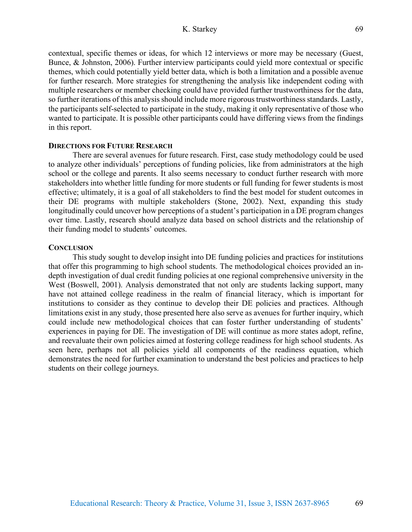contextual, specific themes or ideas, for which 12 interviews or more may be necessary (Guest, Bunce, & Johnston, 2006). Further interview participants could yield more contextual or specific themes, which could potentially yield better data, which is both a limitation and a possible avenue for further research. More strategies for strengthening the analysis like independent coding with multiple researchers or member checking could have provided further trustworthiness for the data, so further iterations of this analysis should include more rigorous trustworthiness standards. Lastly, the participants self-selected to participate in the study, making it only representative of those who wanted to participate. It is possible other participants could have differing views from the findings in this report.

# **DIRECTIONS FOR FUTURE RESEARCH**

There are several avenues for future research. First, case study methodology could be used to analyze other individuals' perceptions of funding policies, like from administrators at the high school or the college and parents. It also seems necessary to conduct further research with more stakeholders into whether little funding for more students or full funding for fewer students is most effective; ultimately, it is a goal of all stakeholders to find the best model for student outcomes in their DE programs with multiple stakeholders (Stone, 2002). Next, expanding this study longitudinally could uncover how perceptions of a student's participation in a DE program changes over time. Lastly, research should analyze data based on school districts and the relationship of their funding model to students' outcomes.

### **CONCLUSION**

This study sought to develop insight into DE funding policies and practices for institutions that offer this programming to high school students. The methodological choices provided an indepth investigation of dual credit funding policies at one regional comprehensive university in the West (Boswell, 2001). Analysis demonstrated that not only are students lacking support, many have not attained college readiness in the realm of financial literacy, which is important for institutions to consider as they continue to develop their DE policies and practices. Although limitations exist in any study, those presented here also serve as avenues for further inquiry, which could include new methodological choices that can foster further understanding of students' experiences in paying for DE. The investigation of DE will continue as more states adopt, refine, and reevaluate their own policies aimed at fostering college readiness for high school students. As seen here, perhaps not all policies yield all components of the readiness equation, which demonstrates the need for further examination to understand the best policies and practices to help students on their college journeys.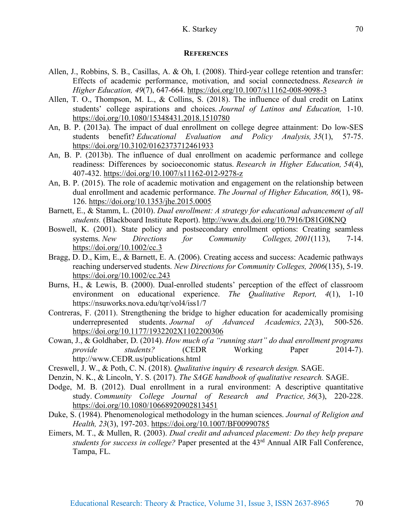# K. Starkey

#### **REFERENCES**

- Allen, J., Robbins, S. B., Casillas, A. & Oh, I. (2008). Third-year college retention and transfer: Effects of academic performance, motivation, and social connectedness. *Research in Higher Education, 49*(7), 647-664. https://doi.org/10.1007/s11162-008-9098-3
- Allen, T. O., Thompson, M. L., & Collins, S. (2018). The influence of dual credit on Latinx students' college aspirations and choices. *Journal of Latinos and Education,* 1-10. https://doi.org/10.1080/15348431.2018.1510780
- An, B. P. (2013a). The impact of dual enrollment on college degree attainment: Do low-SES students benefit? *Educational Evaluation and Policy Analysis, 35*(1), 57-75. https://doi.org/10.3102/0162373712461933
- An, B. P. (2013b). The influence of dual enrollment on academic performance and college readiness: Differences by socioeconomic status. *Research in Higher Education, 54*(4), 407-432. https://doi.org/10.1007/s11162-012-9278-z
- An, B. P. (2015). The role of academic motivation and engagement on the relationship between dual enrollment and academic performance. *The Journal of Higher Education, 86*(1), 98- 126. https://doi.org/10.1353/jhe.2015.0005
- Barnett, E., & Stamm, L. (2010). *Dual enrollment: A strategy for educational advancement of all students.* (Blackboard Institute Report). http://www.dx.doi.org/10.7916/D81G0KNQ
- Boswell, K. (2001). State policy and postsecondary enrollment options: Creating seamless systems. *New Directions for Community Colleges, 2001*(113), 7-14. https://doi.org/10.1002/cc.3
- Bragg, D. D., Kim, E., & Barnett, E. A. (2006). Creating access and success: Academic pathways reaching underserved students. *New Directions for Community Colleges, 2006*(135), 5-19. https://doi.org/10.1002/cc.243
- Burns, H., & Lewis, B. (2000). Dual-enrolled students' perception of the effect of classroom environment on educational experience. *The Qualitative Report, 4*(1), 1-10 https://nsuworks.nova.edu/tqr/vol4/iss1/7
- Contreras, F. (2011). Strengthening the bridge to higher education for academically promising underrepresented students. *Journal of Advanced Academics, 22*(3), 500-526. https://doi.org/10.1177/1932202X1102200306
- Cowan, J., & Goldhaber, D. (2014). *How much of a "running start" do dual enrollment programs provide students?* (CEDR Working Paper 2014-7). http://www.CEDR.us/publications.html
- Creswell, J. W., & Poth, C. N. (2018). *Qualitative inquiry & research design.* SAGE.
- Denzin, N. K., & Lincoln, Y. S. (2017). *The SAGE handbook of qualitative research.* SAGE.
- Dodge, M. B. (2012). Dual enrollment in a rural environment: A descriptive quantitative study. *Community College Journal of Research and Practice, 36*(3), 220-228. https://doi.org/10.1080/10668920902813451
- Duke, S. (1984). Phenomenological methodology in the human sciences. *Journal of Religion and Health, 23*(3), 197-203. https://doi.org/10.1007/BF00990785
- Eimers, M. T., & Mullen, R. (2003). *Dual credit and advanced placement: Do they help prepare students for success in college?* Paper presented at the 43rd Annual AIR Fall Conference, Tampa, FL.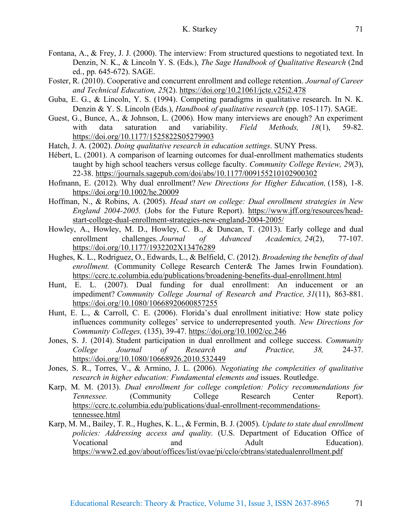- Fontana, A., & Frey, J. J. (2000). The interview: From structured questions to negotiated text. In Denzin, N. K., & Lincoln Y. S. (Eds.), *The Sage Handbook of Qualitative Research* (2nd ed., pp. 645-672). SAGE.
- Foster, R. (2010). Cooperative and concurrent enrollment and college retention. *Journal of Career and Technical Education, 25*(2). https://doi.org/10.21061/jcte.v25i2.478
- Guba, E. G., & Lincoln, Y. S. (1994). Competing paradigms in qualitative research. In N. K. Denzin & Y. S. Lincoln (Eds.), *Handbook of qualitative research* (pp. 105-117). SAGE.
- Guest, G., Bunce, A., & Johnson, L. (2006). How many interviews are enough? An experiment with data saturation and variability. *Field Methods, 18*(1), 59-82. https://doi.org/10.1177/1525822S05279903
- Hatch, J. A. (2002). *Doing qualitative research in education settings*. SUNY Press.
- Hébert, L. (2001). A comparison of learning outcomes for dual-enrollment mathematics students taught by high school teachers versus college faculty. *Community College Review, 29*(3), 22-38. https://journals.sagepub.com/doi/abs/10.1177/009155210102900302
- Hofmann, E. (2012). Why dual enrollment? *New Directions for Higher Education,* (158), 1-8. https://doi.org/10.1002/he.20009
- Hoffman, N., & Robins, A. (2005). *Head start on college: Dual enrollment strategies in New England 2004-2005.* (Jobs for the Future Report). https://www.jff.org/resources/headstart-college-dual-enrollment-strategies-new-england-2004-2005/
- Howley, A., Howley, M. D., Howley, C. B., & Duncan, T. (2013). Early college and dual enrollment challenges. *Journal of Advanced Academics, 24*(2), 77-107. https://doi.org/10.1177/1932202X13476289
- Hughes, K. L., Rodriguez, O., Edwards, L., & Belfield, C. (2012). *Broadening the benefits of dual enrollment.* (Community College Research Center& The James Irwin Foundation). https://ccrc.tc.columbia.edu/publications/broadening-benefits-dual-enrollment.html
- Hunt, E. L. (2007). Dual funding for dual enrollment: An inducement or an impediment? *Community College Journal of Research and Practice, 31*(11), 863-881. https://doi.org/10.1080/10668920600857255
- Hunt, E. L., & Carroll, C. E. (2006). Florida's dual enrollment initiative: How state policy influences community colleges' service to underrepresented youth. *New Directions for Community Colleges,* (135), 39-47. https://doi.org/10.1002/cc.246
- Jones, S. J. (2014). Student participation in dual enrollment and college success. *Community College Journal of Research and Practice, 38,* 24-37. https://doi.org/10.1080/10668926.2010.532449
- Jones, S. R., Torres, V., & Armino, J. L. (2006). *Negotiating the complexities of qualitative research in higher education: Fundamental elements and issues. Routledge.*
- Karp, M. M. (2013). *Dual enrollment for college completion: Policy recommendations for Tennessee.* (Community College Research Center Report). https://ccrc.tc.columbia.edu/publications/dual-enrollment-recommendationstennessee.html
- Karp, M. M., Bailey, T. R., Hughes, K. L., & Fermin, B. J. (2005). *Update to state dual enrollment policies: Addressing access and quality.* (U.S. Department of Education Office of Vocational and Adult Education). https://www2.ed.gov/about/offices/list/ovae/pi/cclo/cbtrans/statedualenrollment.pdf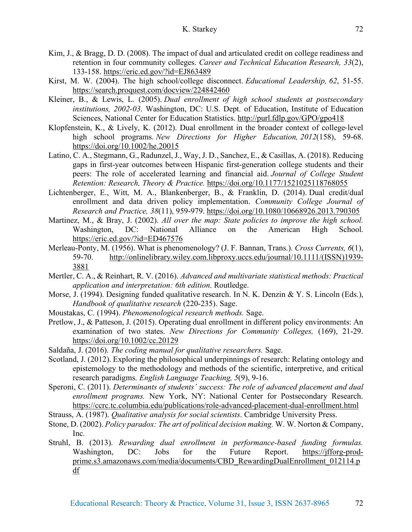- Kim, J., & Bragg, D. D. (2008). The impact of dual and articulated credit on college readiness and retention in four community colleges. *Career and Technical Education Research, 33*(2), 133-158. https://eric.ed.gov/?id=EJ863489
- Kirst, M. W. (2004). The high school/college disconnect. *Educational Leadership, 62*, 51-55. https://search.proquest.com/docview/224842460
- Kleiner, B., & Lewis, L. (2005). *Dual enrollment of high school students at postsecondary institutions, 2002-03*. Washington, DC: U.S. Dept. of Education, Institute of Education Sciences, National Center for Education Statistics. http://purl.fdlp.gov/GPO/gpo418
- Klopfenstein, K., & Lively, K. (2012). Dual enrollment in the broader context of college-level high school programs. *New Directions for Higher Education, 2012*(158), 59-68. https://doi.org/10.1002/he.20015
- Latino, C. A., Stegmann, G., Radunzel, J., Way, J. D., Sanchez, E., & Casillas, A. (2018). Reducing gaps in first-year outcomes between Hispanic first-generation college students and their peers: The role of accelerated learning and financial aid. *Journal of College Student Retention: Research, Theory & Practice.* https://doi.org/10.1177/1521025118768055
- Lichtenberger, E., Witt, M. A., Blankenberger, B., & Franklin, D. (2014). Dual credit/dual enrollment and data driven policy implementation. *Community College Journal of Research and Practice, 38*(11), 959-979. https://doi.org/10.1080/10668926.2013.790305
- Martinez, M., & Bray, J. (2002). *All over the map: State policies to improve the high school.* Washington, DC: National Alliance on the American High School. https://eric.ed.gov/?id=ED467576
- Merleau-Ponty, M. (1956). What is phenomenology? (J. F. Bannan, Trans.). *Cross Currents, 6*(1), 59-70. http://onlinelibrary.wiley.com.libproxy.uccs.edu/journal/10.1111/(ISSN)1939- 3881
- Mertler, C. A., & Reinhart, R. V. (2016). *Advanced and multivariate statistical methods: Practical application and interpretation: 6th edition*. Routledge.
- Morse, J. (1994). Designing funded qualitative research. In N. K. Denzin & Y. S. Lincoln (Eds.), *Handbook of qualitative research* (220-235). Sage.
- Moustakas, C. (1994). *Phenomenological research methods.* Sage.
- Pretlow, J., & Patteson, J. (2015). Operating dual enrollment in different policy environments: An examination of two states. *New Directions for Community Colleges,* (169), 21-29. https://doi.org/10.1002/cc.20129
- Saldaña, J. (2016). *The coding manual for qualitative researchers.* Sage.
- Scotland, J. (2012). Exploring the philosophical underpinnings of research: Relating ontology and epistemology to the methodology and methods of the scientific, interpretive, and critical research paradigms. *English Language Teaching, 5*(9), 9-16.
- Speroni, C. (2011). *Determinants of students' success: The role of advanced placement and dual enrollment programs.* New York, NY: National Center for Postsecondary Research. https://ccrc.tc.columbia.edu/publications/role-advanced-placement-dual-enrollment.html
- Strauss, A. (1987). *Qualitative analysis for social scientists*. Cambridge University Press.
- Stone, D. (2002). *Policy paradox: The art of political decision making.* W. W. Norton & Company, Inc.
- Struhl, B. (2013). *Rewarding dual enrollment in performance-based funding formulas.* Washington, DC: Jobs for the Future Report. https://jfforg-prodprime.s3.amazonaws.com/media/documents/CBD\_RewardingDualEnrollment\_012114.p df